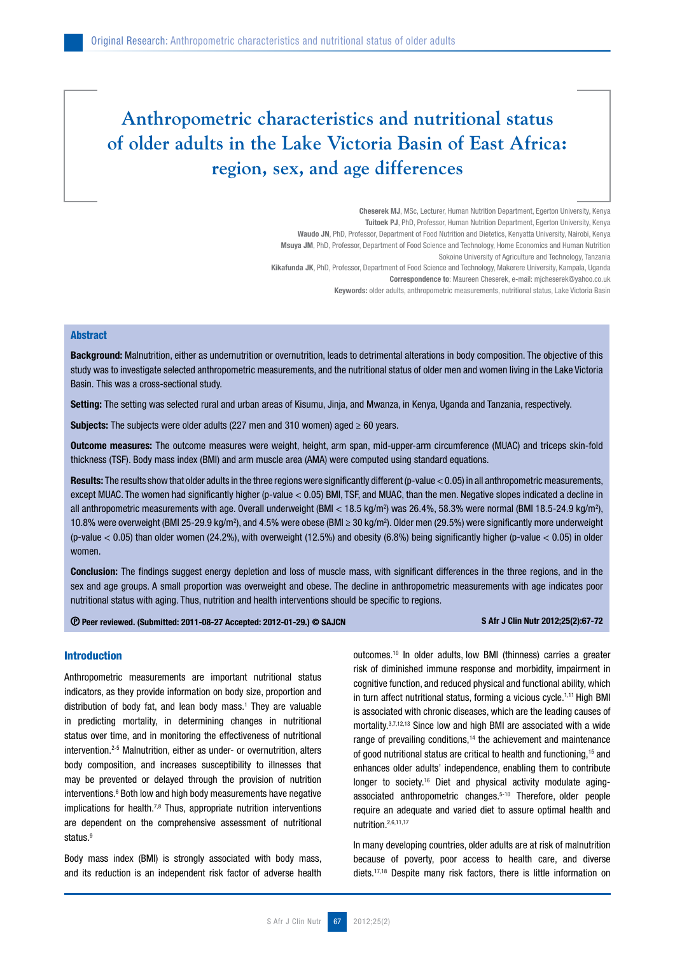# **Anthropometric characteristics and nutritional status of older adults in the Lake Victoria Basin of East Africa: region, sex, and age differences**

Cheserek MJ, MSc, Lecturer, Human Nutrition Department, Egerton University, Kenya Tuitoek PJ, PhD, Professor, Human Nutrition Department, Egerton University, Kenya Waudo JN, PhD, Professor, Department of Food Nutrition and Dietetics, Kenyatta University, Nairobi, Kenya Msuya JM, PhD, Professor, Department of Food Science and Technology, Home Economics and Human Nutrition Sokoine University of Agriculture and Technology, Tanzania Kikafunda JK, PhD, Professor, Department of Food Science and Technology, Makerere University, Kampala, Uganda Correspondence to: Maureen Cheserek, e-mail: mjcheserek@yahoo.co.uk Keywords: older adults, anthropometric measurements, nutritional status, Lake Victoria Basin

#### **Abstract**

Background: Malnutrition, either as undernutrition or overnutrition, leads to detrimental alterations in body composition. The objective of this study was to investigate selected anthropometric measurements, and the nutritional status of older men and women living in the Lake Victoria Basin. This was a cross-sectional study.

Setting: The setting was selected rural and urban areas of Kisumu, Jinia, and Mwanza, in Kenya, Uganda and Tanzania, respectively.

**Subjects:** The subjects were older adults (227 men and 310 women) aged  $\geq 60$  years.

Outcome measures: The outcome measures were weight, height, arm span, mid-upper-arm circumference (MUAC) and triceps skin-fold thickness (TSF). Body mass index (BMI) and arm muscle area (AMA) were computed using standard equations.

**Results:** The results show that older adults in the three regions were significantly different (p-value  $< 0.05$ ) in all anthropometric measurements, except MUAC. The women had significantly higher (p-value < 0.05) BMI, TSF, and MUAC, than the men. Negative slopes indicated a decline in all anthropometric measurements with age. Overall underweight (BMI < 18.5 kg/m<sup>2</sup>) was 26.4%, 58.3% were normal (BMI 18.5-24.9 kg/m<sup>2</sup>), 10.8% were overweight (BMI 25-29.9 kg/m<sup>2</sup>), and 4.5% were obese (BMI ≥ 30 kg/m<sup>2</sup>). Older men (29.5%) were significantly more underweight (p-value  $<$  0.05) than older women (24.2%), with overweight (12.5%) and obesity (6.8%) being significantly higher (p-value  $<$  0.05) in older women.

Conclusion: The findings suggest energy depletion and loss of muscle mass, with significant differences in the three regions, and in the sex and age groups. A small proportion was overweight and obese. The decline in anthropometric measurements with age indicates poor nutritional status with aging. Thus, nutrition and health interventions should be specific to regions.

Peer reviewed. (Submitted: 2011-08-27 Accepted: 2012-01-29.) © SAJCN S Afr J Clin Nutr 2012;25(2):67-72

### Introduction

Anthropometric measurements are important nutritional status indicators, as they provide information on body size, proportion and distribution of body fat, and lean body mass.<sup>1</sup> They are valuable in predicting mortality, in determining changes in nutritional status over time, and in monitoring the effectiveness of nutritional intervention.<sup>2-5</sup> Malnutrition, either as under- or overnutrition, alters body composition, and increases susceptibility to illnesses that may be prevented or delayed through the provision of nutrition interventions.<sup>6</sup> Both low and high body measurements have negative implications for health.<sup>7,8</sup> Thus, appropriate nutrition interventions are dependent on the comprehensive assessment of nutritional status<sup>9</sup>

Body mass index (BMI) is strongly associated with body mass, and its reduction is an independent risk factor of adverse health outcomes.10 In older adults, low BMI (thinness) carries a greater risk of diminished immune response and morbidity, impairment in cognitive function, and reduced physical and functional ability, which in turn affect nutritional status, forming a vicious cycle.<sup>1,11</sup> High BMI is associated with chronic diseases, which are the leading causes of mortality.3,7,12,13 Since low and high BMI are associated with a wide range of prevailing conditions,<sup>14</sup> the achievement and maintenance of good nutritional status are critical to health and functioning,15 and enhances older adults' independence, enabling them to contribute longer to society.<sup>16</sup> Diet and physical activity modulate agingassociated anthropometric changes.5-10 Therefore, older people require an adequate and varied diet to assure optimal health and nutrition.2,6,11,17

In many developing countries, older adults are at risk of malnutrition because of poverty, poor access to health care, and diverse diets.17,18 Despite many risk factors, there is little information on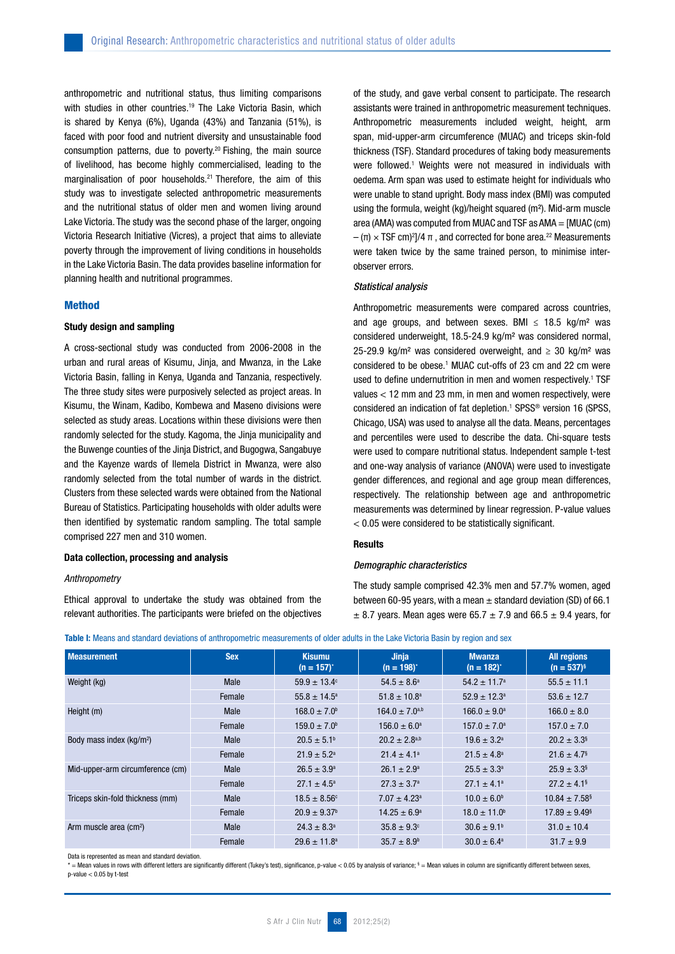anthropometric and nutritional status, thus limiting comparisons with studies in other countries.<sup>19</sup> The Lake Victoria Basin, which is shared by Kenya (6%), Uganda (43%) and Tanzania (51%), is faced with poor food and nutrient diversity and unsustainable food consumption patterns, due to poverty.20 Fishing, the main source of livelihood, has become highly commercialised, leading to the marginalisation of poor households.<sup>21</sup> Therefore, the aim of this study was to investigate selected anthropometric measurements and the nutritional status of older men and women living around Lake Victoria. The study was the second phase of the larger, ongoing Victoria Research Initiative (Vicres), a project that aims to alleviate poverty through the improvement of living conditions in households in the Lake Victoria Basin. The data provides baseline information for planning health and nutritional programmes.

# Method

### Study design and sampling

A cross-sectional study was conducted from 2006-2008 in the urban and rural areas of Kisumu, Jinja, and Mwanza, in the Lake Victoria Basin, falling in Kenya, Uganda and Tanzania, respectively. The three study sites were purposively selected as project areas. In Kisumu, the Winam, Kadibo, Kombewa and Maseno divisions were selected as study areas. Locations within these divisions were then randomly selected for the study. Kagoma, the Jinja municipality and the Buwenge counties of the Jinja District, and Bugogwa, Sangabuye and the Kayenze wards of Ilemela District in Mwanza, were also randomly selected from the total number of wards in the district. Clusters from these selected wards were obtained from the National Bureau of Statistics. Participating households with older adults were then identified by systematic random sampling. The total sample comprised 227 men and 310 women.

#### Data collection, processing and analysis

### *Anthropometry*

Ethical approval to undertake the study was obtained from the relevant authorities. The participants were briefed on the objectives of the study, and gave verbal consent to participate. The research assistants were trained in anthropometric measurement techniques. Anthropometric measurements included weight, height, arm span, mid-upper-arm circumference (MUAC) and triceps skin-fold thickness (TSF). Standard procedures of taking body measurements were followed.<sup>1</sup> Weights were not measured in individuals with oedema. Arm span was used to estimate height for individuals who were unable to stand upright. Body mass index (BMI) was computed using the formula, weight (kg)/height squared (m²). Mid-arm muscle area (AMA) was computed from MUAC and TSF as AMA = [MUAC (cm)  $-(\pi) \times TSF$  cm)<sup>2</sup>]/4  $\pi$ , and corrected for bone area.<sup>22</sup> Measurements were taken twice by the same trained person, to minimise interobserver errors.

#### *Statistical analysis*

Anthropometric measurements were compared across countries, and age groups, and between sexes. BMI  $\leq$  18.5 kg/m<sup>2</sup> was considered underweight, 18.5-24.9 kg/m² was considered normal, 25-29.9 kg/m<sup>2</sup> was considered overweight, and  $\geq$  30 kg/m<sup>2</sup> was considered to be obese.1 MUAC cut-offs of 23 cm and 22 cm were used to define undernutrition in men and women respectively.<sup>1</sup> TSF values < 12 mm and 23 mm, in men and women respectively, were considered an indication of fat depletion.<sup>1</sup> SPSS® version 16 (SPSS, Chicago, USA) was used to analyse all the data. Means, percentages and percentiles were used to describe the data. Chi-square tests were used to compare nutritional status. Independent sample t-test and one-way analysis of variance (ANOVA) were used to investigate gender differences, and regional and age group mean differences, respectively. The relationship between age and anthropometric measurements was determined by linear regression. P-value values < 0.05 were considered to be statistically significant.

#### **Results**

#### *Demographic characteristics*

The study sample comprised 42.3% men and 57.7% women, aged between 60-95 years, with a mean  $\pm$  standard deviation (SD) of 66.1  $\pm$  8.7 years. Mean ages were 65.7  $\pm$  7.9 and 66.5  $\pm$  9.4 years, for

| <b>Measurement</b>                   | <b>Sex</b> | <b>Kisumu</b><br>$(n = 157)^{x}$ | <b>Jinja</b><br>$(n = 198)^{n}$ | <b>Mwanza</b><br>$(n = 182)^{4}$ | <b>All regions</b><br>$(n = 537)^{s}$ |
|--------------------------------------|------------|----------------------------------|---------------------------------|----------------------------------|---------------------------------------|
| Weight (kg)                          | Male       | $59.9 \pm 13.4^{\circ}$          | $54.5 \pm 8.6^{\circ}$          | $54.2 \pm 11.7^{\circ}$          | $55.5 \pm 11.1$                       |
|                                      | Female     | $55.8 \pm 14.5^{\circ}$          | $51.8 \pm 10.8^a$               | $52.9 \pm 12.3^{\circ}$          | $53.6 \pm 12.7$                       |
| Height (m)                           | Male       | $168.0 \pm 7.0^{\circ}$          | $164.0 \pm 7.0^{a,b}$           | $166.0 \pm 9.0^a$                | $166.0 \pm 8.0$                       |
|                                      | Female     | $159.0 \pm 7.0^{\circ}$          | $156.0 \pm 6.0^a$               | $157.0 \pm 7.0^a$                | $157.0 \pm 7.0$                       |
| Body mass index (kg/m <sup>2</sup> ) | Male       | $20.5 \pm 5.1^{\circ}$           | $20.2 \pm 2.8^{a,b}$            | $19.6 \pm 3.2^{\circ}$           | $20.2 \pm 3.3$ <sup>§</sup>           |
|                                      | Female     | $21.9 \pm 5.2^a$                 | $21.4 \pm 4.1^a$                | $21.5 \pm 4.8^a$                 | $21.6 \pm 4.7$ <sup>§</sup>           |
| Mid-upper-arm circumference (cm)     | Male       | $26.5 \pm 3.9^{\circ}$           | $26.1 \pm 2.9^{\circ}$          | $25.5 \pm 3.3^{\circ}$           | $25.9 \pm 3.3$ <sup>§</sup>           |
|                                      | Female     | $27.1 \pm 4.5^{\circ}$           | $27.3 \pm 3.7^{\circ}$          | $27.1 \pm 4.1^a$                 | $27.2 \pm 4.1$ <sup>§</sup>           |
| Triceps skin-fold thickness (mm)     | Male       | $18.5 \pm 8.56^{\circ}$          | $7.07 \pm 4.23$ <sup>a</sup>    | $10.0 \pm 6.0^{\circ}$           | $10.84 \pm 7.58$ <sup>§</sup>         |
|                                      | Female     | $20.9 \pm 9.37^{\circ}$          | $14.25 \pm 6.9^{\circ}$         | $18.0 \pm 11.0^{\circ}$          | $17.89 \pm 9.49$ <sup>§</sup>         |
| Arm muscle area (cm <sup>2</sup> )   | Male       | $24.3 \pm 8.3^{\circ}$           | $35.8 \pm 9.3$ <sup>c</sup>     | $30.6 \pm 9.1^{\circ}$           | $31.0 \pm 10.4$                       |
|                                      | Female     | $29.6 \pm 11.8^a$                | $35.7 \pm 8.9^{\circ}$          | $30.0 \pm 6.4^{\circ}$           | $31.7 \pm 9.9$                        |

Data is represented as mean and standard deviation.

\* = Mean values in rows with different letters are significantly different (Tukey's test), significance, p-value < 0.05 by analysis of variance; § = Mean values in column are significantly different between sexes,  $p$ -value  $< 0.05$  by t-test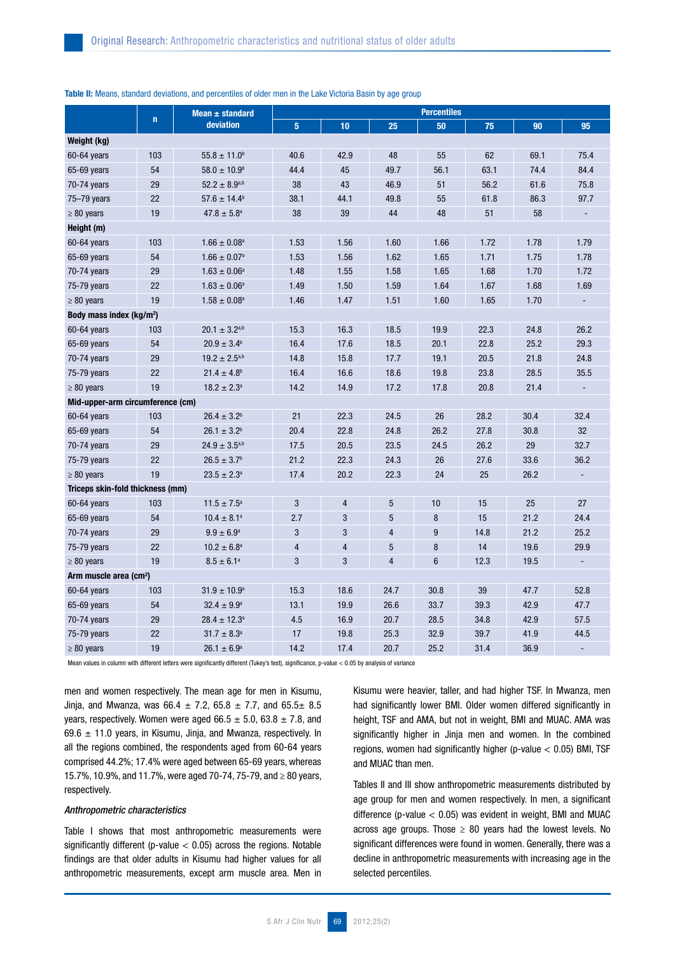|                                      |             | Mean $\pm$ standard         |                |                |      | <b>Percentiles</b> |      |      |      |
|--------------------------------------|-------------|-----------------------------|----------------|----------------|------|--------------------|------|------|------|
|                                      | $\mathbf n$ | deviation                   | 5 <sup>5</sup> | 10             | 25   | 50                 | 75   | 90   | 95   |
| Weight (kg)                          |             |                             |                |                |      |                    |      |      |      |
| 60-64 years                          | 103         | $55.8 \pm 11.0^b$           | 40.6           | 42.9           | 48   | 55                 | 62   | 69.1 | 75.4 |
| 65-69 years                          | 54          | $58.0 \pm 10.9^{\circ}$     | 44.4           | 45             | 49.7 | 56.1               | 63.1 | 74.4 | 84.4 |
| 70-74 years                          | 29          | $52.2 \pm 8.9^{a,b}$        | 38             | 43             | 46.9 | 51                 | 56.2 | 61.6 | 75.8 |
| 75-79 years                          | 22          | $57.6 \pm 14.4^b$           | 38.1           | 44.1           | 49.8 | 55                 | 61.8 | 86.3 | 97.7 |
| $\geq 80$ years                      | 19          | $47.8 \pm 5.8^a$            | 38             | 39             | 44   | 48                 | 51   | 58   |      |
| Height (m)                           |             |                             |                |                |      |                    |      |      |      |
| 60-64 years                          | 103         | $1.66 \pm 0.08^a$           | 1.53           | 1.56           | 1.60 | 1.66               | 1.72 | 1.78 | 1.79 |
| 65-69 years                          | 54          | $1.66 \pm 0.07^a$           | 1.53           | 1.56           | 1.62 | 1.65               | 1.71 | 1.75 | 1.78 |
| 70-74 years                          | 29          | $1.63 \pm 0.06^a$           | 1.48           | 1.55           | 1.58 | 1.65               | 1.68 | 1.70 | 1.72 |
| 75-79 years                          | 22          | $1.63 \pm 0.06^a$           | 1.49           | 1.50           | 1.59 | 1.64               | 1.67 | 1.68 | 1.69 |
| $\geq 80$ years                      | 19          | $1.58 \pm 0.08^a$           | 1.46           | 1.47           | 1.51 | 1.60               | 1.65 | 1.70 |      |
| Body mass index (kg/m <sup>2</sup> ) |             |                             |                |                |      |                    |      |      |      |
| 60-64 years                          | 103         | $20.1 \pm 3.2^{a,b}$        | 15.3           | 16.3           | 18.5 | 19.9               | 22.3 | 24.8 | 26.2 |
| 65-69 years                          | 54          | $20.9 \pm 3.4^{\circ}$      | 16.4           | 17.6           | 18.5 | 20.1               | 22.8 | 25.2 | 29.3 |
| $70-74$ years                        | 29          | $19.2 \pm 2.5^{a,b}$        | 14.8           | 15.8           | 17.7 | 19.1               | 20.5 | 21.8 | 24.8 |
| 75-79 years                          | 22          | $21.4 \pm 4.8$ <sup>b</sup> | 16.4           | 16.6           | 18.6 | 19.8               | 23.8 | 28.5 | 35.5 |
| $\geq 80$ years                      | 19          | $18.2 \pm 2.3^a$            | 14.2           | 14.9           | 17.2 | 17.8               | 20.8 | 21.4 |      |
| Mid-upper-arm circumference (cm)     |             |                             |                |                |      |                    |      |      |      |
| 60-64 years                          | 103         | $26.4 \pm 3.2^b$            | 21             | 22.3           | 24.5 | 26                 | 28.2 | 30.4 | 32.4 |
| 65-69 years                          | 54          | $26.1 \pm 3.2^b$            | 20.4           | 22.8           | 24.8 | 26.2               | 27.8 | 30.8 | 32   |
| $70-74$ years                        | 29          | $24.9 \pm 3.5^{a,b}$        | 17.5           | 20.5           | 23.5 | 24.5               | 26.2 | 29   | 32.7 |
| 75-79 years                          | 22          | $26.5 \pm 3.7^b$            | 21.2           | 22.3           | 24.3 | 26                 | 27.6 | 33.6 | 36.2 |
| $\geq 80$ years                      | 19          | $23.5 \pm 2.3^a$            | 17.4           | 20.2           | 22.3 | 24                 | 25   | 26.2 |      |
| Triceps skin-fold thickness (mm)     |             |                             |                |                |      |                    |      |      |      |
| 60-64 years                          | 103         | $11.5 \pm 7.5^a$            | 3              | $\overline{4}$ | 5    | 10                 | 15   | 25   | 27   |
| 65-69 years                          | 54          | $10.4 \pm 8.1^a$            | 2.7            | 3              | 5    | 8                  | 15   | 21.2 | 24.4 |
| $70-74$ years                        | 29          | $9.9 \pm 6.9^{\circ}$       | 3              | 3              | 4    | 9                  | 14.8 | 21.2 | 25.2 |
| 75-79 years                          | 22          | $10.2 \pm 6.8^a$            | $\overline{4}$ | $\overline{4}$ | 5    | 8                  | 14   | 19.6 | 29.9 |
| $\geq 80$ years                      | 19          | $8.5 \pm 6.1^a$             | 3              | 3              | 4    | $6\phantom{1}$     | 12.3 | 19.5 |      |
| Arm muscle area (cm <sup>2</sup> )   |             |                             |                |                |      |                    |      |      |      |
| 60-64 years                          | 103         | $31.9 \pm 10.9^{\rm a}$     | 15.3           | 18.6           | 24.7 | 30.8               | 39   | 47.7 | 52.8 |
| 65-69 years                          | 54          | $32.4 \pm 9.9^{\circ}$      | 13.1           | 19.9           | 26.6 | 33.7               | 39.3 | 42.9 | 47.7 |
| $70-74$ years                        | 29          | $28.4 \pm 12.3^a$           | 4.5            | 16.9           | 20.7 | 28.5               | 34.8 | 42.9 | 57.5 |
| 75-79 years                          | 22          | $31.7 \pm 8.3^a$            | 17             | 19.8           | 25.3 | 32.9               | 39.7 | 41.9 | 44.5 |
| $\geq 80$ years                      | 19          | $26.1 \pm 6.9^{\circ}$      | 14.2           | 17.4           | 20.7 | 25.2               | 31.4 | 36.9 |      |

#### Table II: Means, standard deviations, and percentiles of older men in the Lake Victoria Basin by age group

Mean values in column with different letters were significantly different (Tukey's test), significance, p-value < 0.05 by analysis of variance

men and women respectively. The mean age for men in Kisumu, Jinja, and Mwanza, was  $66.4 \pm 7.2$ ,  $65.8 \pm 7.7$ , and  $65.5 \pm 8.5$ years, respectively. Women were aged 66.5  $\pm$  5.0, 63.8  $\pm$  7.8, and 69.6  $\pm$  11.0 years, in Kisumu, Jinja, and Mwanza, respectively. In all the regions combined, the respondents aged from 60-64 years comprised 44.2%; 17.4% were aged between 65-69 years, whereas 15.7%, 10.9%, and 11.7%, were aged 70-74, 75-79, and ≥ 80 years, respectively.

#### *Anthropometric characteristics*

Table I shows that most anthropometric measurements were significantly different (p-value  $<$  0.05) across the regions. Notable findings are that older adults in Kisumu had higher values for all anthropometric measurements, except arm muscle area. Men in Kisumu were heavier, taller, and had higher TSF. In Mwanza, men had significantly lower BMI. Older women differed significantly in height, TSF and AMA, but not in weight, BMI and MUAC. AMA was significantly higher in Jinja men and women. In the combined regions, women had significantly higher (p-value < 0.05) BMI, TSF and MUAC than men.

Tables II and III show anthropometric measurements distributed by age group for men and women respectively. In men, a significant difference (p-value  $< 0.05$ ) was evident in weight, BMI and MUAC across age groups. Those  $\geq$  80 years had the lowest levels. No significant differences were found in women. Generally, there was a decline in anthropometric measurements with increasing age in the selected percentiles.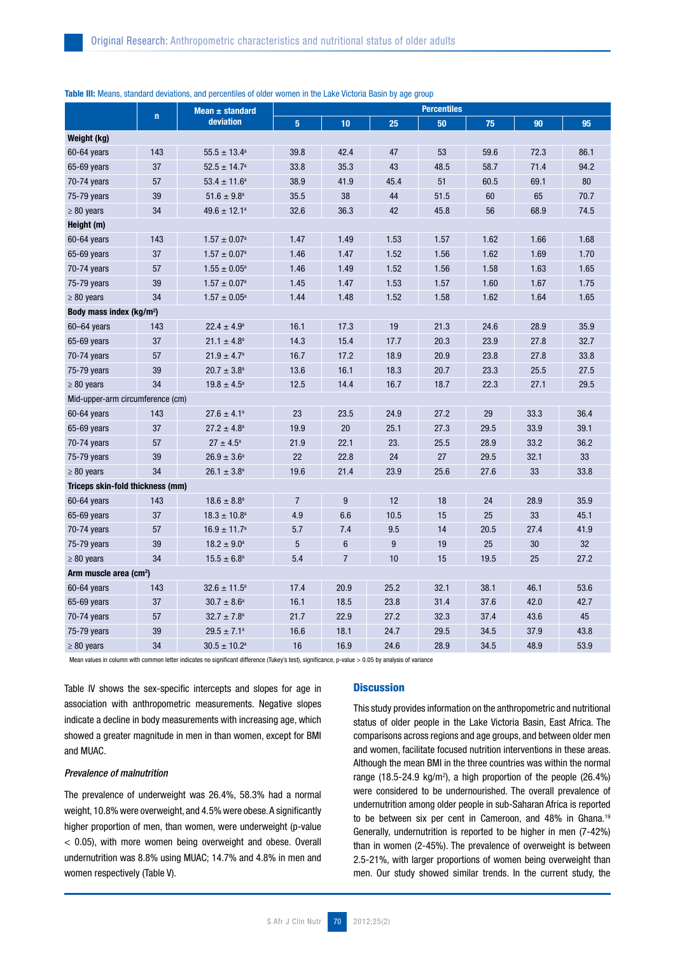| Table III: Means, standard deviations, and percentiles of older women in the Lake Victoria Basin by age group |  |  |  |  |  |  |  |  |  |
|---------------------------------------------------------------------------------------------------------------|--|--|--|--|--|--|--|--|--|
|---------------------------------------------------------------------------------------------------------------|--|--|--|--|--|--|--|--|--|

|                                      |             | Mean $\pm$ standard        |                |                |      | <b>Percentiles</b> |      |      |      |
|--------------------------------------|-------------|----------------------------|----------------|----------------|------|--------------------|------|------|------|
|                                      | $\mathbf n$ | deviation                  | 5 <sup>5</sup> | 10             | 25   | 50                 | 75   | 90   | 95   |
| Weight (kg)                          |             |                            |                |                |      |                    |      |      |      |
| $60 - 64$ years                      | 143         | $55.5 \pm 13.4^a$          | 39.8           | 42.4           | 47   | 53                 | 59.6 | 72.3 | 86.1 |
| 65-69 years                          | 37          | $52.5 \pm 14.7^{\circ}$    | 33.8           | 35.3           | 43   | 48.5               | 58.7 | 71.4 | 94.2 |
| 70-74 years                          | 57          | $53.4 \pm 11.6^a$          | 38.9           | 41.9           | 45.4 | 51                 | 60.5 | 69.1 | 80   |
| 75-79 years                          | 39          | $51.6 \pm 9.8^a$           | 35.5           | 38             | 44   | 51.5               | 60   | 65   | 70.7 |
| $\geq 80$ years                      | 34          | $49.6 \pm 12.1^a$          | 32.6           | 36.3           | 42   | 45.8               | 56   | 68.9 | 74.5 |
| Height (m)                           |             |                            |                |                |      |                    |      |      |      |
| 60-64 years                          | 143         | $1.57 \pm 0.07^{\text{a}}$ | 1.47           | 1.49           | 1.53 | 1.57               | 1.62 | 1.66 | 1.68 |
| 65-69 years                          | 37          | $1.57 \pm 0.07^{\text{a}}$ | 1.46           | 1.47           | 1.52 | 1.56               | 1.62 | 1.69 | 1.70 |
| 70-74 years                          | 57          | $1.55 \pm 0.05^{\rm a}$    | 1.46           | 1.49           | 1.52 | 1.56               | 1.58 | 1.63 | 1.65 |
| 75-79 years                          | 39          | $1.57 \pm 0.07^{\text{a}}$ | 1.45           | 1.47           | 1.53 | 1.57               | 1.60 | 1.67 | 1.75 |
| $\geq 80$ years                      | 34          | $1.57 \pm 0.05^{\text{a}}$ | 1.44           | 1.48           | 1.52 | 1.58               | 1.62 | 1.64 | 1.65 |
| Body mass index (kg/m <sup>2</sup> ) |             |                            |                |                |      |                    |      |      |      |
| $60 - 64$ years                      | 143         | $22.4 \pm 4.9^a$           | 16.1           | 17.3           | 19   | 21.3               | 24.6 | 28.9 | 35.9 |
| 65-69 years                          | 37          | $21.1 \pm 4.8^a$           | 14.3           | 15.4           | 17.7 | 20.3               | 23.9 | 27.8 | 32.7 |
| 70-74 years                          | 57          | $21.9 \pm 4.7^{\circ}$     | 16.7           | 17.2           | 18.9 | 20.9               | 23.8 | 27.8 | 33.8 |
| 75-79 years                          | 39          | $20.7 \pm 3.8^a$           | 13.6           | 16.1           | 18.3 | 20.7               | 23.3 | 25.5 | 27.5 |
| $\geq 80$ years                      | 34          | $19.8 \pm 4.5^{\circ}$     | 12.5           | 14.4           | 16.7 | 18.7               | 22.3 | 27.1 | 29.5 |
| Mid-upper-arm circumference (cm)     |             |                            |                |                |      |                    |      |      |      |
| 60-64 years                          | 143         | $27.6 \pm 4.1^a$           | 23             | 23.5           | 24.9 | 27.2               | 29   | 33.3 | 36.4 |
| 65-69 years                          | 37          | $27.2 \pm 4.8^a$           | 19.9           | 20             | 25.1 | 27.3               | 29.5 | 33.9 | 39.1 |
| 70-74 years                          | 57          | $27 \pm 4.5^{\circ}$       | 21.9           | 22.1           | 23.  | 25.5               | 28.9 | 33.2 | 36.2 |
| 75-79 years                          | 39          | $26.9 \pm 3.6^a$           | 22             | 22.8           | 24   | 27                 | 29.5 | 32.1 | 33   |
| $\geq 80$ years                      | 34          | $26.1 \pm 3.8^a$           | 19.6           | 21.4           | 23.9 | 25.6               | 27.6 | 33   | 33.8 |
| Triceps skin-fold thickness (mm)     |             |                            |                |                |      |                    |      |      |      |
| 60-64 years                          | 143         | $18.6 \pm 8.8^a$           | $\overline{7}$ | 9              | 12   | 18                 | 24   | 28.9 | 35.9 |
| 65-69 years                          | 37          | $18.3 \pm 10.8^a$          | 4.9            | 6.6            | 10.5 | 15                 | 25   | 33   | 45.1 |
| 70-74 years                          | 57          | $16.9 \pm 11.7^a$          | 5.7            | 7.4            | 9.5  | 14                 | 20.5 | 27.4 | 41.9 |
| 75-79 years                          | 39          | $18.2 \pm 9.0^a$           | 5              | $6\phantom{1}$ | 9    | 19                 | 25   | 30   | 32   |
| $\geq 80$ years                      | 34          | $15.5 \pm 6.8^a$           | 5.4            | $\overline{7}$ | 10   | 15                 | 19.5 | 25   | 27.2 |
| Arm muscle area (cm <sup>2</sup> )   |             |                            |                |                |      |                    |      |      |      |
| 60-64 years                          | 143         | $32.6 \pm 11.5^a$          | 17.4           | 20.9           | 25.2 | 32.1               | 38.1 | 46.1 | 53.6 |
| 65-69 years                          | 37          | $30.7 \pm 8.6^a$           | 16.1           | 18.5           | 23.8 | 31.4               | 37.6 | 42.0 | 42.7 |
| $70-74$ years                        | 57          | $32.7 \pm 7.8^a$           | 21.7           | 22.9           | 27.2 | 32.3               | 37.4 | 43.6 | 45   |
| 75-79 years                          | 39          | $29.5 \pm 7.1^a$           | 16.6           | 18.1           | 24.7 | 29.5               | 34.5 | 37.9 | 43.8 |
| $\geq 80$ years                      | 34          | $30.5 \pm 10.2^a$          | 16             | 16.9           | 24.6 | 28.9               | 34.5 | 48.9 | 53.9 |

Mean values in column with common letter indicates no significant difference (Tukey's test), significance, p-value > 0.05 by analysis of variance

Table IV shows the sex-specific intercepts and slopes for age in association with anthropometric measurements. Negative slopes indicate a decline in body measurements with increasing age, which showed a greater magnitude in men in than women, except for BMI and MUAC.

#### *Prevalence of malnutrition*

The prevalence of underweight was 26.4%, 58.3% had a normal weight, 10.8% were overweight, and 4.5% were obese. A significantly higher proportion of men, than women, were underweight (p-value < 0.05), with more women being overweight and obese. Overall undernutrition was 8.8% using MUAC; 14.7% and 4.8% in men and women respectively (Table V).

# **Discussion**

This study provides information on the anthropometric and nutritional status of older people in the Lake Victoria Basin, East Africa. The comparisons across regions and age groups, and between older men and women, facilitate focused nutrition interventions in these areas. Although the mean BMI in the three countries was within the normal range  $(18.5-24.9 \text{ kg/m}^2)$ , a high proportion of the people  $(26.4\%)$ were considered to be undernourished. The overall prevalence of undernutrition among older people in sub-Saharan Africa is reported to be between six per cent in Cameroon, and 48% in Ghana.<sup>19</sup> Generally, undernutrition is reported to be higher in men (7-42%) than in women (2-45%). The prevalence of overweight is between 2.5-21%, with larger proportions of women being overweight than men. Our study showed similar trends. In the current study, the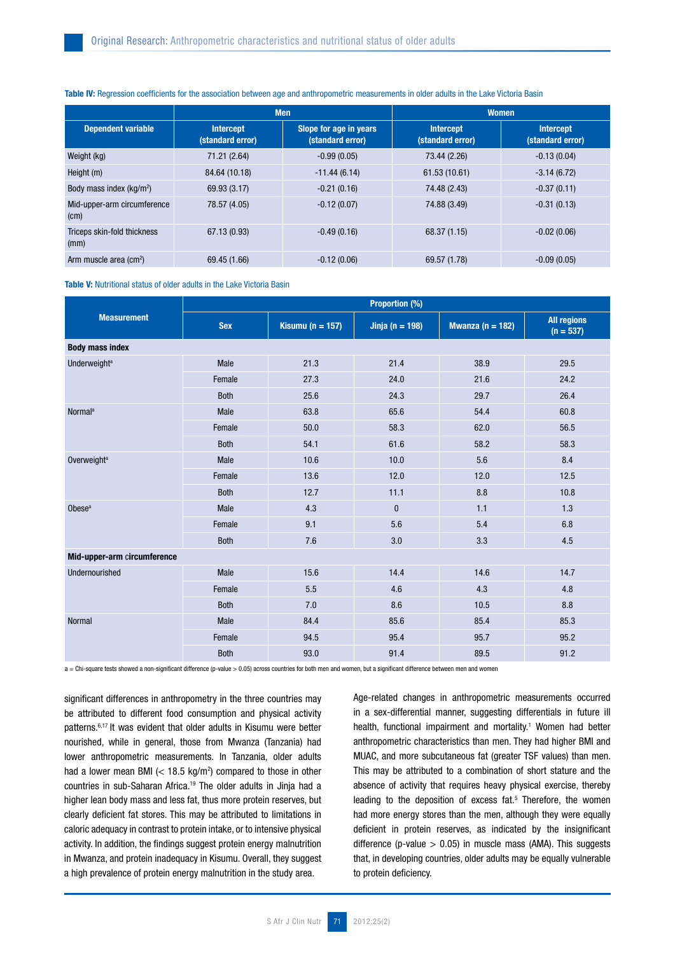#### Table IV: Regression coefficients for the association between age and anthropometric measurements in older adults in the Lake Victoria Basin

|                                      |                                                                                    | <b>Men</b>     | <b>Women</b>                         |                                      |  |  |
|--------------------------------------|------------------------------------------------------------------------------------|----------------|--------------------------------------|--------------------------------------|--|--|
| <b>Dependent variable</b>            | Slope for age in years<br><b>Intercept</b><br>(standard error)<br>(standard error) |                | <b>Intercept</b><br>(standard error) | <b>Intercept</b><br>(standard error) |  |  |
| Weight (kg)                          | 71.21 (2.64)                                                                       | $-0.99(0.05)$  | 73.44 (2.26)                         | $-0.13(0.04)$                        |  |  |
| Height (m)                           | 84.64 (10.18)                                                                      | $-11.44(6.14)$ | 61.53 (10.61)                        | $-3.14(6.72)$                        |  |  |
| Body mass index (kg/m <sup>2</sup> ) | 69.93 (3.17)                                                                       | $-0.21(0.16)$  | 74.48 (2.43)                         | $-0.37(0.11)$                        |  |  |
| Mid-upper-arm circumference<br>(cm)  | 78.57 (4.05)                                                                       | $-0.12(0.07)$  | 74.88 (3.49)                         | $-0.31(0.13)$                        |  |  |
| Triceps skin-fold thickness<br>(mm)  | 67.13 (0.93)                                                                       | $-0.49(0.16)$  | 68.37 (1.15)                         | $-0.02(0.06)$                        |  |  |
| Arm muscle area $(cm2)$              | 69.45 (1.66)                                                                       | $-0.12(0.06)$  | 69.57 (1.78)                         | $-0.09(0.05)$                        |  |  |

Table V: Nutritional status of older adults in the Lake Victoria Basin

|                             | <b>Proportion (%)</b> |                  |                 |                  |                                   |  |  |  |
|-----------------------------|-----------------------|------------------|-----------------|------------------|-----------------------------------|--|--|--|
| <b>Measurement</b>          | <b>Sex</b>            | Kisumu (n = 157) | Jinja (n = 198) | Mwanza (n = 182) | <b>All regions</b><br>$(n = 537)$ |  |  |  |
| <b>Body mass index</b>      |                       |                  |                 |                  |                                   |  |  |  |
| Underweight <sup>a</sup>    | Male                  | 21.3             | 21.4            | 38.9             | 29.5                              |  |  |  |
|                             | Female                | 27.3             | 24.0            | 21.6             | 24.2                              |  |  |  |
|                             | <b>Both</b>           | 25.6             | 24.3            | 29.7             | 26.4                              |  |  |  |
| <b>Normal</b> <sup>a</sup>  | Male                  | 63.8             | 65.6            | 54.4             | 60.8                              |  |  |  |
|                             | Female                | 50.0             | 58.3            | 62.0             | 56.5                              |  |  |  |
|                             | <b>Both</b>           | 54.1             | 61.6            | 58.2             | 58.3                              |  |  |  |
| Overweight <sup>a</sup>     | Male                  | 10.6             | 10.0            | $5.6\,$          | 8.4                               |  |  |  |
|                             | Female                | 13.6             | 12.0            | 12.0             | 12.5                              |  |  |  |
|                             | <b>Both</b>           | 12.7             | 11.1            | 8.8              | 10.8                              |  |  |  |
| Obese <sup>a</sup>          | Male                  | 4.3              | $\pmb{0}$       | 1.1              | 1.3                               |  |  |  |
|                             | Female                | 9.1              | 5.6             | 5.4              | 6.8                               |  |  |  |
|                             | <b>Both</b>           | 7.6              | 3.0             | 3.3              | 4.5                               |  |  |  |
| Mid-upper-arm circumference |                       |                  |                 |                  |                                   |  |  |  |
| Undernourished              | Male                  | 15.6             | 14.4            | 14.6             | 14.7                              |  |  |  |
|                             | Female                | 5.5              | 4.6             | 4.3              | 4.8                               |  |  |  |
|                             | <b>Both</b>           | 7.0              | 8.6             | 10.5             | 8.8                               |  |  |  |
| <b>Normal</b>               | Male                  | 84.4             | 85.6            | 85.4             | 85.3                              |  |  |  |
|                             | Female                | 94.5             | 95.4            | 95.7             | 95.2                              |  |  |  |
|                             | <b>Both</b>           | 93.0             | 91.4            | 89.5             | 91.2                              |  |  |  |

a = Chi-square tests showed a non-significant difference (p-value > 0.05) across countries for both men and women, but a significant difference between men and women

significant differences in anthropometry in the three countries may be attributed to different food consumption and physical activity patterns.6,17 It was evident that older adults in Kisumu were better nourished, while in general, those from Mwanza (Tanzania) had lower anthropometric measurements. In Tanzania, older adults had a lower mean BMI  $\left($  < 18.5 kg/m<sup>2</sup>) compared to those in other countries in sub-Saharan Africa.19 The older adults in Jinja had a higher lean body mass and less fat, thus more protein reserves, but clearly deficient fat stores. This may be attributed to limitations in caloric adequacy in contrast to protein intake, or to intensive physical activity. In addition, the findings suggest protein energy malnutrition in Mwanza, and protein inadequacy in Kisumu. Overall, they suggest a high prevalence of protein energy malnutrition in the study area.

Age-related changes in anthropometric measurements occurred in a sex-differential manner, suggesting differentials in future ill health, functional impairment and mortality.<sup>1</sup> Women had better anthropometric characteristics than men. They had higher BMI and MUAC, and more subcutaneous fat (greater TSF values) than men. This may be attributed to a combination of short stature and the absence of activity that requires heavy physical exercise, thereby leading to the deposition of excess fat.<sup>5</sup> Therefore, the women had more energy stores than the men, although they were equally deficient in protein reserves, as indicated by the insignificant difference (p-value  $> 0.05$ ) in muscle mass (AMA). This suggests that, in developing countries, older adults may be equally vulnerable to protein deficiency.